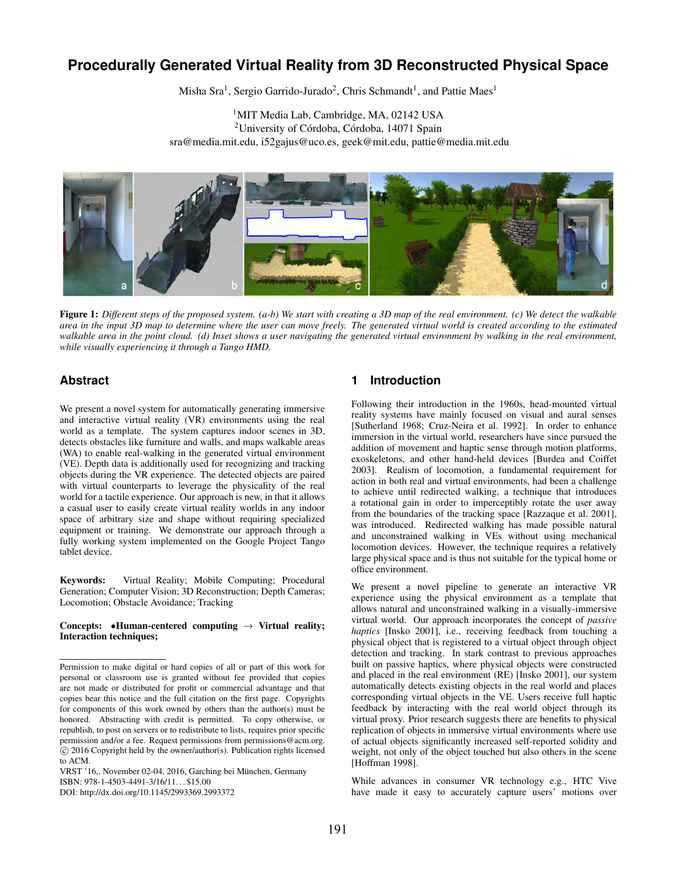# **Procedurally Generated Virtual Reality from 3D Reconstructed Physical Space**

Misha Sra<sup>1</sup>, Sergio Garrido-Jurado<sup>2</sup>, Chris Schmandt<sup>1</sup>, and Pattie Maes<sup>1</sup>

<sup>1</sup>MIT Media Lab, Cambridge, MA, 02142 USA  $2$ University of Córdoba, Córdoba, 14071 Spain sra@media.mit.edu, i52gajus@uco.es, geek@mit.edu, pattie@media.mit.edu



<span id="page-0-0"></span>Figure 1: *Different steps of the proposed system. (a-b) We start with creating a 3D map of the real environment. (c) We detect the walkable area in the input 3D map to determine where the user can move freely. The generated virtual world is created according to the estimated walkable area in the point cloud. (d) Inset shows a user navigating the generated virtual environment by walking in the real environment, while visually experiencing it through a Tango HMD.*

# **Abstract**

We present a novel system for automatically generating immersive and interactive virtual reality (VR) environments using the real world as a template. The system captures indoor scenes in 3D, detects obstacles like furniture and walls, and maps walkable areas (WA) to enable real-walking in the generated virtual environment (VE). Depth data is additionally used for recognizing and tracking objects during the VR experience. The detected objects are paired with virtual counterparts to leverage the physicality of the real world for a tactile experience. Our approach is new, in that it allows a casual user to easily create virtual reality worlds in any indoor space of arbitrary size and shape without requiring specialized equipment or training. We demonstrate our approach through a fully working system implemented on the Google Project Tango tablet device.

Keywords: Virtual Reality; Mobile Computing; Procedural Generation; Computer Vision; 3D Reconstruction; Depth Cameras; Locomotion; Obstacle Avoidance; Tracking

Concepts: •Human-centered computing  $\rightarrow$  Virtual reality; Interaction techniques;

DOI:<http://dx.doi.org/10.1145/2993369.2993372>

## **1 Introduction**

Following their introduction in the 1960s, head-mounted virtual reality systems have mainly focused on visual and aural senses [\[Sutherland 1968;](#page-9-0) [Cruz-Neira et al. 1992\]](#page-8-0). In order to enhance immersion in the virtual world, researchers have since pursued the addition of movement and haptic sense through motion platforms, exoskeletons, and other hand-held devices [\[Burdea and Coiffet](#page-8-1) [2003\]](#page-8-1). Realism of locomotion, a fundamental requirement for action in both real and virtual environments, had been a challenge to achieve until redirected walking, a technique that introduces a rotational gain in order to imperceptibly rotate the user away from the boundaries of the tracking space [\[Razzaque et al. 2001\]](#page-8-2), was introduced. Redirected walking has made possible natural and unconstrained walking in VEs without using mechanical locomotion devices. However, the technique requires a relatively large physical space and is thus not suitable for the typical home or office environment.

We present a novel pipeline to generate an interactive VR experience using the physical environment as a template that allows natural and unconstrained walking in a visually-immersive virtual world. Our approach incorporates the concept of *passive* haptics [\[Insko 2001\]](#page-8-3), i.e., receiving feedback from touching a physical object that is registered to a virtual object through object detection and tracking. In stark contrast to previous approaches built on passive haptics, where physical objects were constructed and placed in the real environment (RE) [\[Insko 2001\]](#page-8-3), our system automatically detects existing objects in the real world and places corresponding virtual objects in the VE. Users receive full haptic feedback by interacting with the real world object through its virtual proxy. Prior research suggests there are benefits to physical replication of objects in immersive virtual environments where use of actual objects significantly increased self-reported solidity and weight, not only of the object touched but also others in the scene [\[Hoffman 1998\]](#page-8-4).

While advances in consumer VR technology e.g., HTC Vive have made it easy to accurately capture users' motions over

Permission to make digital or hard copies of all or part of this work for personal or classroom use is granted without fee provided that copies are not made or distributed for profit or commercial advantage and that copies bear this notice and the full citation on the first page. Copyrights for components of this work owned by others than the author(s) must be honored. Abstracting with credit is permitted. To copy otherwise, or republish, to post on servers or to redistribute to lists, requires prior specific permission and/or a fee. Request permissions from permissions@acm.org. c 2016 Copyright held by the owner/author(s). Publication rights licensed to ACM.

VRST '16,, November 02-04, 2016, Garching bei Munchen, Germany ¨ ISBN: 978-1-4503-4491-3/16/11. . . \$15.00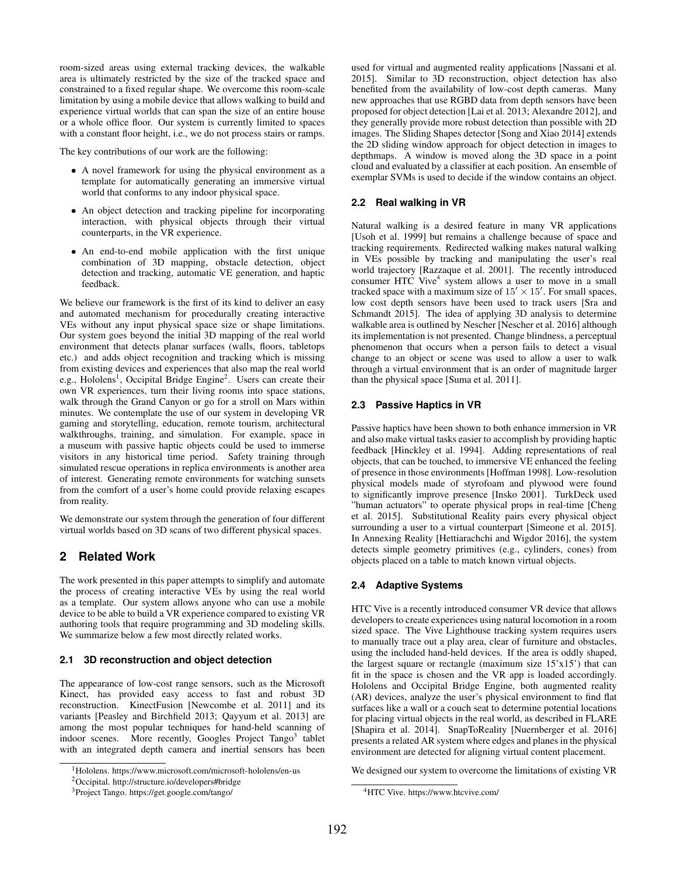room-sized areas using external tracking devices, the walkable area is ultimately restricted by the size of the tracked space and constrained to a fixed regular shape. We overcome this room-scale limitation by using a mobile device that allows walking to build and experience virtual worlds that can span the size of an entire house or a whole office floor. Our system is currently limited to spaces with a constant floor height, i.e., we do not process stairs or ramps.

The key contributions of our work are the following:

- A novel framework for using the physical environment as a template for automatically generating an immersive virtual world that conforms to any indoor physical space.
- An object detection and tracking pipeline for incorporating interaction, with physical objects through their virtual counterparts, in the VR experience.
- An end-to-end mobile application with the first unique combination of 3D mapping, obstacle detection, object detection and tracking, automatic VE generation, and haptic feedback.

We believe our framework is the first of its kind to deliver an easy and automated mechanism for procedurally creating interactive VEs without any input physical space size or shape limitations. Our system goes beyond the initial 3D mapping of the real world environment that detects planar surfaces (walls, floors, tabletops etc.) and adds object recognition and tracking which is missing from existing devices and experiences that also map the real world e.g., Hololens<sup>1</sup>, Occipital Bridge Engine<sup>2</sup>. Users can create their own VR experiences, turn their living rooms into space stations, walk through the Grand Canyon or go for a stroll on Mars within minutes. We contemplate the use of our system in developing VR gaming and storytelling, education, remote tourism, architectural walkthroughs, training, and simulation. For example, space in a museum with passive haptic objects could be used to immerse visitors in any historical time period. Safety training through simulated rescue operations in replica environments is another area of interest. Generating remote environments for watching sunsets from the comfort of a user's home could provide relaxing escapes from reality.

We demonstrate our system through the generation of four different virtual worlds based on 3D scans of two different physical spaces.

# **2 Related Work**

The work presented in this paper attempts to simplify and automate the process of creating interactive VEs by using the real world as a template. Our system allows anyone who can use a mobile device to be able to build a VR experience compared to existing VR authoring tools that require programming and 3D modeling skills. We summarize below a few most directly related works.

### **2.1 3D reconstruction and object detection**

The appearance of low-cost range sensors, such as the Microsoft Kinect, has provided easy access to fast and robust 3D reconstruction. KinectFusion [\[Newcombe et al. 2011\]](#page-8-5) and its variants [\[Peasley and Birchfield 2013;](#page-8-6) [Qayyum et al. 2013\]](#page-8-7) are among the most popular techniques for hand-held scanning of indoor scenes. More recently, Googles Project Tango<sup>3</sup> tablet with an integrated depth camera and inertial sensors has been

used for virtual and augmented reality applications [\[Nassani et al.](#page-8-8) [2015\]](#page-8-8). Similar to 3D reconstruction, object detection has also benefited from the availability of low-cost depth cameras. Many new approaches that use RGBD data from depth sensors have been proposed for object detection [\[Lai et al. 2013;](#page-8-9) [Alexandre 2012\]](#page-8-10), and they generally provide more robust detection than possible with 2D images. The Sliding Shapes detector [\[Song and Xiao 2014\]](#page-8-11) extends the 2D sliding window approach for object detection in images to depthmaps. A window is moved along the 3D space in a point cloud and evaluated by a classifier at each position. An ensemble of exemplar SVMs is used to decide if the window contains an object.

#### **2.2 Real walking in VR**

Natural walking is a desired feature in many VR applications [\[Usoh et al. 1999\]](#page-9-1) but remains a challenge because of space and tracking requirements. Redirected walking makes natural walking in VEs possible by tracking and manipulating the user's real world trajectory [\[Razzaque et al. 2001\]](#page-8-2). The recently introduced consumer HTC Vive<sup>4</sup> system allows a user to move in a small tracked space with a maximum size of  $15' \times 15'$ . For small spaces, low cost depth sensors have been used to track users [\[Sra and](#page-8-12) [Schmandt 2015\]](#page-8-12). The idea of applying 3D analysis to determine walkable area is outlined by Nescher [\[Nescher et al. 2016\]](#page-8-13) although its implementation is not presented. Change blindness, a perceptual phenomenon that occurs when a person fails to detect a visual change to an object or scene was used to allow a user to walk through a virtual environment that is an order of magnitude larger than the physical space [\[Suma et al. 2011\]](#page-9-2).

### **2.3 Passive Haptics in VR**

Passive haptics have been shown to both enhance immersion in VR and also make virtual tasks easier to accomplish by providing haptic feedback [\[Hinckley et al. 1994\]](#page-8-14). Adding representations of real objects, that can be touched, to immersive VE enhanced the feeling of presence in those environments [\[Hoffman 1998\]](#page-8-4). Low-resolution physical models made of styrofoam and plywood were found to significantly improve presence [\[Insko 2001\]](#page-8-3). TurkDeck used "human actuators" to operate physical props in real-time [\[Cheng](#page-8-15) [et al. 2015\]](#page-8-15). Substitutional Reality pairs every physical object surrounding a user to a virtual counterpart [\[Simeone et al. 2015\]](#page-8-16). In Annexing Reality [\[Hettiarachchi and Wigdor 2016\]](#page-8-17), the system detects simple geometry primitives (e.g., cylinders, cones) from objects placed on a table to match known virtual objects.

#### **2.4 Adaptive Systems**

HTC Vive is a recently introduced consumer VR device that allows developers to create experiences using natural locomotion in a room sized space. The Vive Lighthouse tracking system requires users to manually trace out a play area, clear of furniture and obstacles, using the included hand-held devices. If the area is oddly shaped, the largest square or rectangle (maximum size  $15'x15'$ ) that can fit in the space is chosen and the VR app is loaded accordingly. Hololens and Occipital Bridge Engine, both augmented reality (AR) devices, analyze the user's physical environment to find flat surfaces like a wall or a couch seat to determine potential locations for placing virtual objects in the real world, as described in FLARE [\[Shapira et al. 2014\]](#page-8-18). SnapToReality [\[Nuernberger et al. 2016\]](#page-8-19) presents a related AR system where edges and planes in the physical environment are detected for aligning virtual content placement.

We designed our system to overcome the limitations of existing VR

<sup>&</sup>lt;sup>1</sup>Hololens.<https://www.microsoft.com/microsoft-hololens/en-us>

<sup>2</sup>Occipital.<http://structure.io/developers#bridge>

<sup>3</sup>Project Tango.<https://get.google.com/tango/>

<sup>4</sup>HTC Vive.<https://www.htcvive.com/>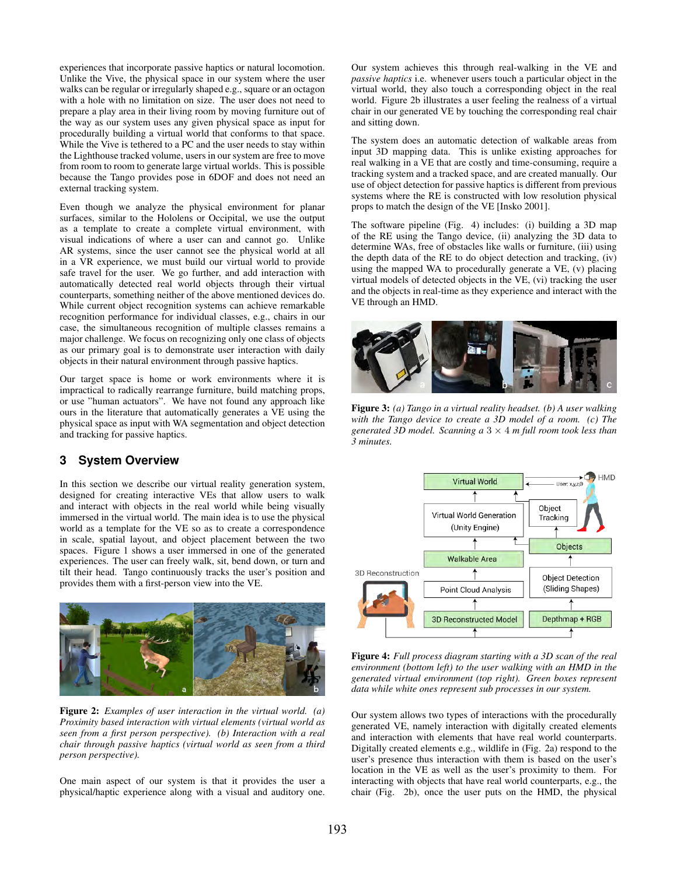experiences that incorporate passive haptics or natural locomotion. Unlike the Vive, the physical space in our system where the user walks can be regular or irregularly shaped e.g., square or an octagon with a hole with no limitation on size. The user does not need to prepare a play area in their living room by moving furniture out of the way as our system uses any given physical space as input for procedurally building a virtual world that conforms to that space. While the Vive is tethered to a PC and the user needs to stay within the Lighthouse tracked volume, users in our system are free to move from room to room to generate large virtual worlds. This is possible because the Tango provides pose in 6DOF and does not need an external tracking system.

Even though we analyze the physical environment for planar surfaces, similar to the Hololens or Occipital, we use the output as a template to create a complete virtual environment, with visual indications of where a user can and cannot go. Unlike AR systems, since the user cannot see the physical world at all in a VR experience, we must build our virtual world to provide safe travel for the user. We go further, and add interaction with automatically detected real world objects through their virtual counterparts, something neither of the above mentioned devices do. While current object recognition systems can achieve remarkable recognition performance for individual classes, e.g., chairs in our case, the simultaneous recognition of multiple classes remains a major challenge. We focus on recognizing only one class of objects as our primary goal is to demonstrate user interaction with daily objects in their natural environment through passive haptics.

Our target space is home or work environments where it is impractical to radically rearrange furniture, build matching props, or use "human actuators". We have not found any approach like ours in the literature that automatically generates a VE using the physical space as input with WA segmentation and object detection and tracking for passive haptics.

## **3 System Overview**

In this section we describe our virtual reality generation system, designed for creating interactive VEs that allow users to walk and interact with objects in the real world while being visually immersed in the virtual world. The main idea is to use the physical world as a template for the VE so as to create a correspondence in scale, spatial layout, and object placement between the two spaces. Figure [1](#page-0-0) shows a user immersed in one of the generated experiences. The user can freely walk, sit, bend down, or turn and tilt their head. Tango continuously tracks the user's position and provides them with a first-person view into the VE.

<span id="page-2-0"></span>

Figure 2: *Examples of user interaction in the virtual world. (a) Proximity based interaction with virtual elements (virtual world as seen from a first person perspective). (b) Interaction with a real chair through passive haptics (virtual world as seen from a third person perspective).*

One main aspect of our system is that it provides the user a physical/haptic experience along with a visual and auditory one.

Our system achieves this through real-walking in the VE and *passive haptics* i.e. whenever users touch a particular object in the virtual world, they also touch a corresponding object in the real world. Figure [2b](#page-2-0) illustrates a user feeling the realness of a virtual chair in our generated VE by touching the corresponding real chair and sitting down.

The system does an automatic detection of walkable areas from input 3D mapping data. This is unlike existing approaches for real walking in a VE that are costly and time-consuming, require a tracking system and a tracked space, and are created manually. Our use of object detection for passive haptics is different from previous systems where the RE is constructed with low resolution physical props to match the design of the VE [\[Insko 2001\]](#page-8-3).

The software pipeline (Fig. [4\)](#page-2-1) includes: (i) building a 3D map of the RE using the Tango device, (ii) analyzing the 3D data to determine WAs, free of obstacles like walls or furniture, (iii) using the depth data of the RE to do object detection and tracking, (iv) using the mapped WA to procedurally generate a VE, (v) placing virtual models of detected objects in the VE, (vi) tracking the user and the objects in real-time as they experience and interact with the VE through an HMD.

<span id="page-2-2"></span>

Figure 3: *(a) Tango in a virtual reality headset. (b) A user walking with the Tango device to create a 3D model of a room. (c) The generated 3D model. Scanning a* 3 × 4 *m full room took less than 3 minutes.*

<span id="page-2-1"></span>

Figure 4: *Full process diagram starting with a 3D scan of the real environment (bottom left) to the user walking with an HMD in the generated virtual environment (top right). Green boxes represent data while white ones represent sub processes in our system.*

Our system allows two types of interactions with the procedurally generated VE, namely interaction with digitally created elements and interaction with elements that have real world counterparts. Digitally created elements e.g., wildlife in (Fig. [2a](#page-2-0)) respond to the user's presence thus interaction with them is based on the user's location in the VE as well as the user's proximity to them. For interacting with objects that have real world counterparts, e.g., the chair (Fig. [2b](#page-2-0)), once the user puts on the HMD, the physical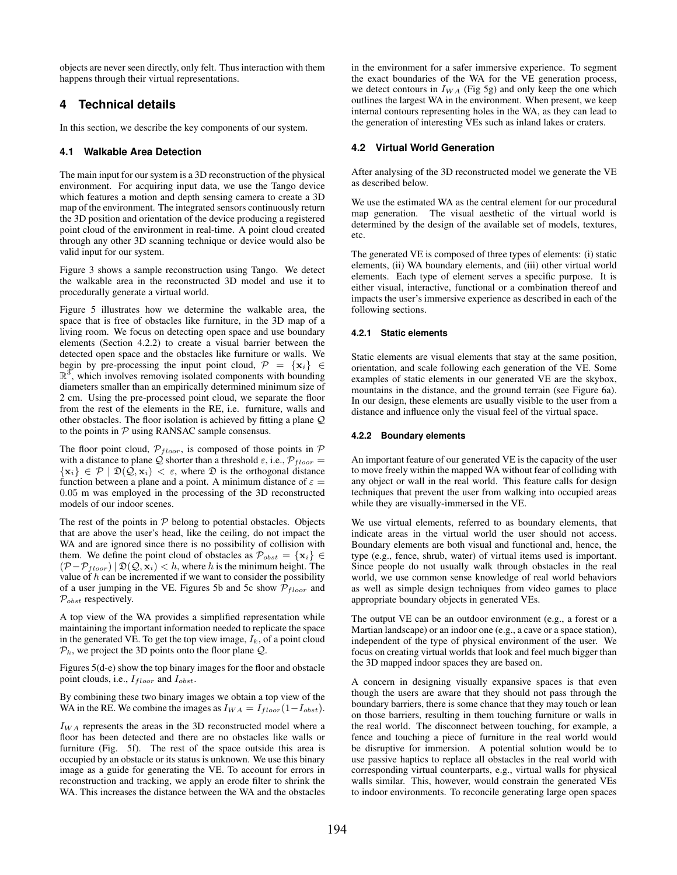objects are never seen directly, only felt. Thus interaction with them happens through their virtual representations.

## **4 Technical details**

In this section, we describe the key components of our system.

### **4.1 Walkable Area Detection**

The main input for our system is a 3D reconstruction of the physical environment. For acquiring input data, we use the Tango device which features a motion and depth sensing camera to create a 3D map of the environment. The integrated sensors continuously return the 3D position and orientation of the device producing a registered point cloud of the environment in real-time. A point cloud created through any other 3D scanning technique or device would also be valid input for our system.

Figure [3](#page-2-2) shows a sample reconstruction using Tango. We detect the walkable area in the reconstructed 3D model and use it to procedurally generate a virtual world.

Figure [5](#page-4-0) illustrates how we determine the walkable area, the space that is free of obstacles like furniture, in the 3D map of a living room. We focus on detecting open space and use boundary elements (Section [4.2.2\)](#page-3-0) to create a visual barrier between the detected open space and the obstacles like furniture or walls. We begin by pre-processing the input point cloud,  $\mathcal{P} = \{x_i\} \in$  $\mathbb{R}^3$ , which involves removing isolated components with bounding diameters smaller than an empirically determined minimum size of 2 cm. Using the pre-processed point cloud, we separate the floor from the rest of the elements in the RE, i.e. furniture, walls and other obstacles. The floor isolation is achieved by fitting a plane Q to the points in P using RANSAC sample consensus.

The floor point cloud,  $P_{floor}$ , is composed of those points in  $P$ with a distance to plane Q shorter than a threshold  $\varepsilon$ , i.e.,  $\mathcal{P}_{floor} =$  $\{x_i\} \in \mathcal{P} \mid \mathfrak{D}(\mathcal{Q}, x_i) < \varepsilon$ , where  $\mathfrak{D}$  is the orthogonal distance function between a plane and a point. A minimum distance of  $\varepsilon =$ 0.05 m was employed in the processing of the 3D reconstructed models of our indoor scenes.

The rest of the points in  $P$  belong to potential obstacles. Objects that are above the user's head, like the ceiling, do not impact the WA and are ignored since there is no possibility of collision with them. We define the point cloud of obstacles as  $\mathcal{P}_{obst} = {\mathbf{x}_i} \in$  $(\mathcal{P} - \mathcal{P}_{floor}) | \mathfrak{D}(\mathcal{Q}, \mathbf{x}_i) < h$ , where h is the minimum height. The value of  $h$  can be incremented if we want to consider the possibility of a user jumping in the VE. Figures [5b](#page-4-0) and [5c](#page-4-0) show  $P_{floor}$  and  $\mathcal{P}_{obst}$  respectively.

A top view of the WA provides a simplified representation while maintaining the important information needed to replicate the space in the generated VE. To get the top view image,  $I_k$ , of a point cloud  $\mathcal{P}_k$ , we project the 3D points onto the floor plane  $\mathcal{Q}$ .

Figures [5\(](#page-4-0)d-e) show the top binary images for the floor and obstacle point clouds, i.e.,  $I_{floor}$  and  $I_{obst}$ .

By combining these two binary images we obtain a top view of the WA in the RE. We combine the images as  $I_{WA} = I_{floor}(1-I_{obst})$ .

 $I_{WA}$  represents the areas in the 3D reconstructed model where a floor has been detected and there are no obstacles like walls or furniture (Fig. [5f](#page-4-0)). The rest of the space outside this area is occupied by an obstacle or its status is unknown. We use this binary image as a guide for generating the VE. To account for errors in reconstruction and tracking, we apply an erode filter to shrink the WA. This increases the distance between the WA and the obstacles in the environment for a safer immersive experience. To segment the exact boundaries of the WA for the VE generation process, we detect contours in  $I_{WA}$  (Fig [5g](#page-4-0)) and only keep the one which outlines the largest WA in the environment. When present, we keep internal contours representing holes in the WA, as they can lead to the generation of interesting VEs such as inland lakes or craters.

### **4.2 Virtual World Generation**

After analysing of the 3D reconstructed model we generate the VE as described below.

We use the estimated WA as the central element for our procedural map generation. The visual aesthetic of the virtual world is determined by the design of the available set of models, textures, etc.

The generated VE is composed of three types of elements: (i) static elements, (ii) WA boundary elements, and (iii) other virtual world elements. Each type of element serves a specific purpose. It is either visual, interactive, functional or a combination thereof and impacts the user's immersive experience as described in each of the following sections.

#### **4.2.1 Static elements**

Static elements are visual elements that stay at the same position, orientation, and scale following each generation of the VE. Some examples of static elements in our generated VE are the skybox, mountains in the distance, and the ground terrain (see Figure [6a](#page-4-1)). In our design, these elements are usually visible to the user from a distance and influence only the visual feel of the virtual space.

#### <span id="page-3-0"></span>**4.2.2 Boundary elements**

An important feature of our generated VE is the capacity of the user to move freely within the mapped WA without fear of colliding with any object or wall in the real world. This feature calls for design techniques that prevent the user from walking into occupied areas while they are visually-immersed in the VE.

We use virtual elements, referred to as boundary elements, that indicate areas in the virtual world the user should not access. Boundary elements are both visual and functional and, hence, the type (e.g., fence, shrub, water) of virtual items used is important. Since people do not usually walk through obstacles in the real world, we use common sense knowledge of real world behaviors as well as simple design techniques from video games to place appropriate boundary objects in generated VEs.

The output VE can be an outdoor environment (e.g., a forest or a Martian landscape) or an indoor one (e.g., a cave or a space station), independent of the type of physical environment of the user. We focus on creating virtual worlds that look and feel much bigger than the 3D mapped indoor spaces they are based on.

A concern in designing visually expansive spaces is that even though the users are aware that they should not pass through the boundary barriers, there is some chance that they may touch or lean on those barriers, resulting in them touching furniture or walls in the real world. The disconnect between touching, for example, a fence and touching a piece of furniture in the real world would be disruptive for immersion. A potential solution would be to use passive haptics to replace all obstacles in the real world with corresponding virtual counterparts, e.g., virtual walls for physical walls similar. This, however, would constrain the generated VEs to indoor environments. To reconcile generating large open spaces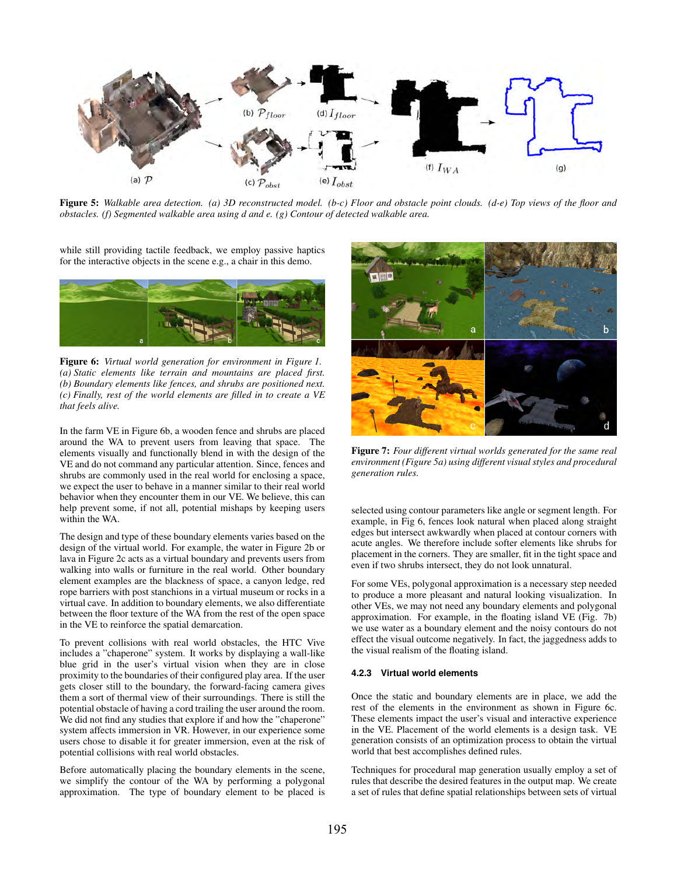<span id="page-4-0"></span>

Figure 5: *Walkable area detection. (a) 3D reconstructed model. (b-c) Floor and obstacle point clouds. (d-e) Top views of the floor and obstacles. (f) Segmented walkable area using d and e. (g) Contour of detected walkable area.*

while still providing tactile feedback, we employ passive haptics for the interactive objects in the scene e.g., a chair in this demo.

<span id="page-4-1"></span>

Figure 6: *Virtual world generation for environment in Figure [1.](#page-0-0) (a) Static elements like terrain and mountains are placed first. (b) Boundary elements like fences, and shrubs are positioned next. (c) Finally, rest of the world elements are filled in to create a VE that feels alive.*

In the farm VE in Figure [6b](#page-4-1), a wooden fence and shrubs are placed around the WA to prevent users from leaving that space. The elements visually and functionally blend in with the design of the VE and do not command any particular attention. Since, fences and shrubs are commonly used in the real world for enclosing a space, we expect the user to behave in a manner similar to their real world behavior when they encounter them in our VE. We believe, this can help prevent some, if not all, potential mishaps by keeping users within the WA.

The design and type of these boundary elements varies based on the design of the virtual world. For example, the water in Figure [2b](#page-2-0) or lava in Figure [2c](#page-2-0) acts as a virtual boundary and prevents users from walking into walls or furniture in the real world. Other boundary element examples are the blackness of space, a canyon ledge, red rope barriers with post stanchions in a virtual museum or rocks in a virtual cave. In addition to boundary elements, we also differentiate between the floor texture of the WA from the rest of the open space in the VE to reinforce the spatial demarcation.

To prevent collisions with real world obstacles, the HTC Vive includes a "chaperone" system. It works by displaying a wall-like blue grid in the user's virtual vision when they are in close proximity to the boundaries of their configured play area. If the user gets closer still to the boundary, the forward-facing camera gives them a sort of thermal view of their surroundings. There is still the potential obstacle of having a cord trailing the user around the room. We did not find any studies that explore if and how the "chaperone" system affects immersion in VR. However, in our experience some users chose to disable it for greater immersion, even at the risk of potential collisions with real world obstacles.

Before automatically placing the boundary elements in the scene, we simplify the contour of the WA by performing a polygonal approximation. The type of boundary element to be placed is

<span id="page-4-2"></span>

Figure 7: *Four different virtual worlds generated for the same real environment (Figure [5a](#page-4-0)) using different visual styles and procedural generation rules.*

selected using contour parameters like angle or segment length. For example, in Fig [6,](#page-4-1) fences look natural when placed along straight edges but intersect awkwardly when placed at contour corners with acute angles. We therefore include softer elements like shrubs for placement in the corners. They are smaller, fit in the tight space and even if two shrubs intersect, they do not look unnatural.

For some VEs, polygonal approximation is a necessary step needed to produce a more pleasant and natural looking visualization. In other VEs, we may not need any boundary elements and polygonal approximation. For example, in the floating island VE (Fig. [7b](#page-4-2)) we use water as a boundary element and the noisy contours do not effect the visual outcome negatively. In fact, the jaggedness adds to the visual realism of the floating island.

#### <span id="page-4-3"></span>**4.2.3 Virtual world elements**

Once the static and boundary elements are in place, we add the rest of the elements in the environment as shown in Figure [6c](#page-4-1). These elements impact the user's visual and interactive experience in the VE. Placement of the world elements is a design task. VE generation consists of an optimization process to obtain the virtual world that best accomplishes defined rules.

Techniques for procedural map generation usually employ a set of rules that describe the desired features in the output map. We create a set of rules that define spatial relationships between sets of virtual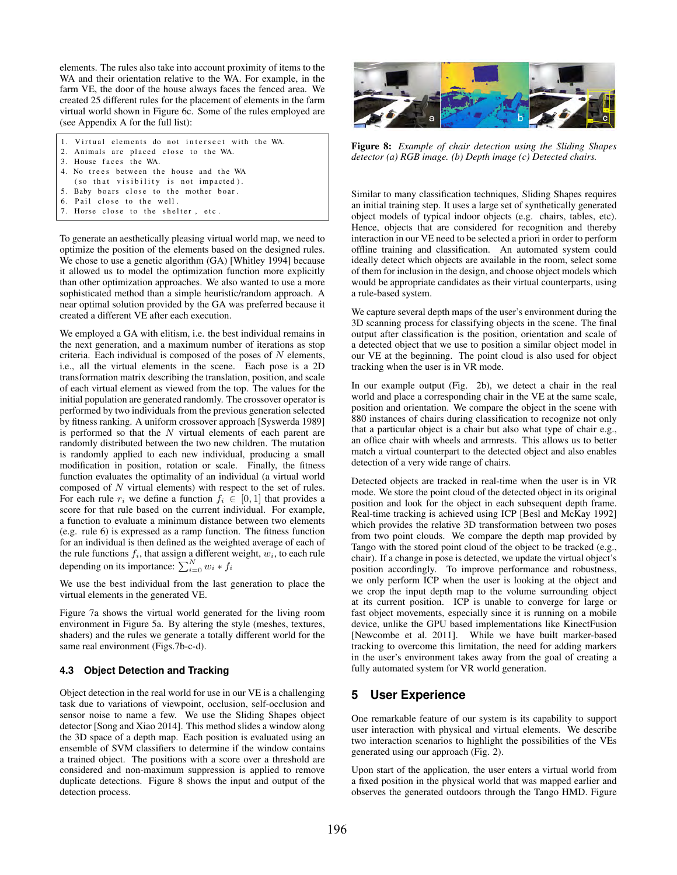elements. The rules also take into account proximity of items to the WA and their orientation relative to the WA. For example, in the farm VE, the door of the house always faces the fenced area. We created 25 different rules for the placement of elements in the farm virtual world shown in Figure [6c](#page-4-1). Some of the rules employed are (see Appendix [A](#page-9-3) for the full list):

- 1. Virtual elements do not intersect with the WA.
- 2. Animals are placed close to the WA.
- 3. House faces the WA.
- 4. No trees between the house and the WA
- (so that visibility is not impacted).
- 5. Baby boars close to the mother boar.
- 6. Pail close to the well.
- 7. Horse close to the shelter, etc.

To generate an aesthetically pleasing virtual world map, we need to optimize the position of the elements based on the designed rules. We chose to use a genetic algorithm (GA) [\[Whitley 1994\]](#page-9-4) because it allowed us to model the optimization function more explicitly than other optimization approaches. We also wanted to use a more sophisticated method than a simple heuristic/random approach. A near optimal solution provided by the GA was preferred because it created a different VE after each execution.

We employed a GA with elitism, i.e. the best individual remains in the next generation, and a maximum number of iterations as stop criteria. Each individual is composed of the poses of  $N$  elements, i.e., all the virtual elements in the scene. Each pose is a 2D transformation matrix describing the translation, position, and scale of each virtual element as viewed from the top. The values for the initial population are generated randomly. The crossover operator is performed by two individuals from the previous generation selected by fitness ranking. A uniform crossover approach [\[Syswerda 1989\]](#page-9-5) is performed so that the  $N$  virtual elements of each parent are randomly distributed between the two new children. The mutation is randomly applied to each new individual, producing a small modification in position, rotation or scale. Finally, the fitness function evaluates the optimality of an individual (a virtual world composed of N virtual elements) with respect to the set of rules. For each rule  $r_i$  we define a function  $f_i \in [0, 1]$  that provides a score for that rule based on the current individual. For example, a function to evaluate a minimum distance between two elements (e.g. rule 6) is expressed as a ramp function. The fitness function for an individual is then defined as the weighted average of each of the rule functions  $f_i$ , that assign a different weight,  $w_i$ , to each rule depending on its importance:  $\sum_{i=0}^{N} w_i * f_i$ 

We use the best individual from the last generation to place the virtual elements in the generated VE.

Figure [7a](#page-4-2) shows the virtual world generated for the living room environment in Figure [5a](#page-4-0). By altering the style (meshes, textures, shaders) and the rules we generate a totally different world for the same real environment (Figs[.7b](#page-4-2)-c-d).

#### **4.3 Object Detection and Tracking**

Object detection in the real world for use in our VE is a challenging task due to variations of viewpoint, occlusion, self-occlusion and sensor noise to name a few. We use the Sliding Shapes object detector [\[Song and Xiao 2014\]](#page-8-11). This method slides a window along the 3D space of a depth map. Each position is evaluated using an ensemble of SVM classifiers to determine if the window contains a trained object. The positions with a score over a threshold are considered and non-maximum suppression is applied to remove duplicate detections. Figure [8](#page-5-0) shows the input and output of the detection process.

<span id="page-5-0"></span>

Figure 8: *Example of chair detection using the Sliding Shapes detector (a) RGB image. (b) Depth image (c) Detected chairs.*

Similar to many classification techniques, Sliding Shapes requires an initial training step. It uses a large set of synthetically generated object models of typical indoor objects (e.g. chairs, tables, etc). Hence, objects that are considered for recognition and thereby interaction in our VE need to be selected a priori in order to perform offline training and classification. An automated system could ideally detect which objects are available in the room, select some of them for inclusion in the design, and choose object models which would be appropriate candidates as their virtual counterparts, using a rule-based system.

We capture several depth maps of the user's environment during the 3D scanning process for classifying objects in the scene. The final output after classification is the position, orientation and scale of a detected object that we use to position a similar object model in our VE at the beginning. The point cloud is also used for object tracking when the user is in VR mode.

In our example output (Fig. [2b](#page-2-0)), we detect a chair in the real world and place a corresponding chair in the VE at the same scale, position and orientation. We compare the object in the scene with 880 instances of chairs during classification to recognize not only that a particular object is a chair but also what type of chair e.g., an office chair with wheels and armrests. This allows us to better match a virtual counterpart to the detected object and also enables detection of a very wide range of chairs.

Detected objects are tracked in real-time when the user is in VR mode. We store the point cloud of the detected object in its original position and look for the object in each subsequent depth frame. Real-time tracking is achieved using ICP [\[Besl and McKay 1992\]](#page-8-20) which provides the relative 3D transformation between two poses from two point clouds. We compare the depth map provided by Tango with the stored point cloud of the object to be tracked (e.g., chair). If a change in pose is detected, we update the virtual object's position accordingly. To improve performance and robustness, we only perform ICP when the user is looking at the object and we crop the input depth map to the volume surrounding object at its current position. ICP is unable to converge for large or fast object movements, especially since it is running on a mobile device, unlike the GPU based implementations like KinectFusion [\[Newcombe et al. 2011\]](#page-8-5). While we have built marker-based tracking to overcome this limitation, the need for adding markers in the user's environment takes away from the goal of creating a fully automated system for VR world generation.

## **5 User Experience**

One remarkable feature of our system is its capability to support user interaction with physical and virtual elements. We describe two interaction scenarios to highlight the possibilities of the VEs generated using our approach (Fig. [2\)](#page-2-0).

Upon start of the application, the user enters a virtual world from a fixed position in the physical world that was mapped earlier and observes the generated outdoors through the Tango HMD. Figure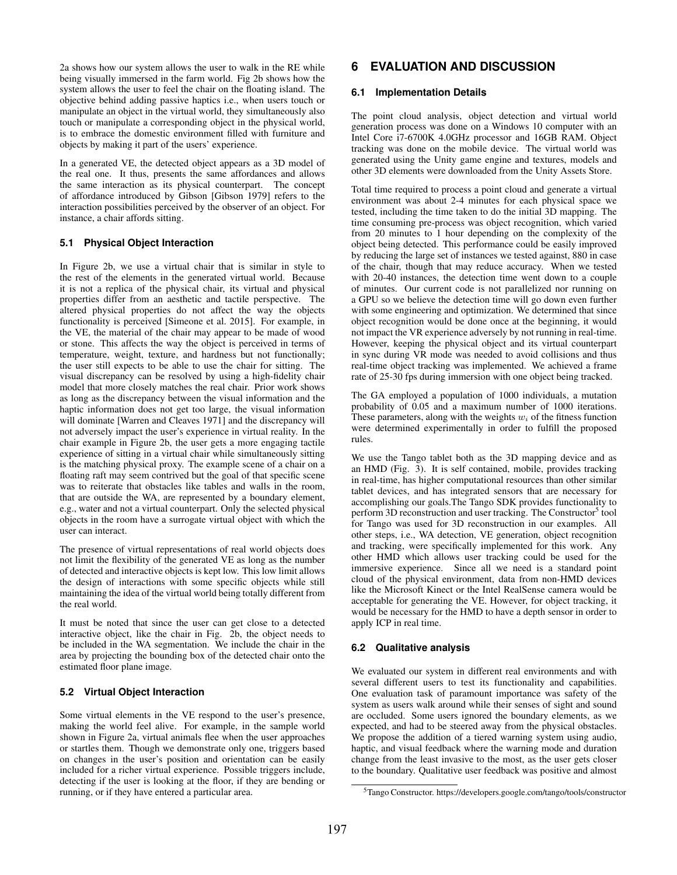[2a](#page-2-0) shows how our system allows the user to walk in the RE while being visually immersed in the farm world. Fig [2b](#page-2-0) shows how the system allows the user to feel the chair on the floating island. The objective behind adding passive haptics i.e., when users touch or manipulate an object in the virtual world, they simultaneously also touch or manipulate a corresponding object in the physical world, is to embrace the domestic environment filled with furniture and objects by making it part of the users' experience.

In a generated VE, the detected object appears as a 3D model of the real one. It thus, presents the same affordances and allows the same interaction as its physical counterpart. The concept of affordance introduced by Gibson [\[Gibson 1979\]](#page-8-21) refers to the interaction possibilities perceived by the observer of an object. For instance, a chair affords sitting.

### **5.1 Physical Object Interaction**

In Figure [2b](#page-2-0), we use a virtual chair that is similar in style to the rest of the elements in the generated virtual world. Because it is not a replica of the physical chair, its virtual and physical properties differ from an aesthetic and tactile perspective. The altered physical properties do not affect the way the objects functionality is perceived [\[Simeone et al. 2015\]](#page-8-16). For example, in the VE, the material of the chair may appear to be made of wood or stone. This affects the way the object is perceived in terms of temperature, weight, texture, and hardness but not functionally; the user still expects to be able to use the chair for sitting. The visual discrepancy can be resolved by using a high-fidelity chair model that more closely matches the real chair. Prior work shows as long as the discrepancy between the visual information and the haptic information does not get too large, the visual information will dominate [\[Warren and Cleaves 1971\]](#page-9-6) and the discrepancy will not adversely impact the user's experience in virtual reality. In the chair example in Figure [2b](#page-2-0), the user gets a more engaging tactile experience of sitting in a virtual chair while simultaneously sitting is the matching physical proxy. The example scene of a chair on a floating raft may seem contrived but the goal of that specific scene was to reiterate that obstacles like tables and walls in the room, that are outside the WA, are represented by a boundary element, e.g., water and not a virtual counterpart. Only the selected physical objects in the room have a surrogate virtual object with which the user can interact.

The presence of virtual representations of real world objects does not limit the flexibility of the generated VE as long as the number of detected and interactive objects is kept low. This low limit allows the design of interactions with some specific objects while still maintaining the idea of the virtual world being totally different from the real world.

It must be noted that since the user can get close to a detected interactive object, like the chair in Fig. [2b](#page-2-0), the object needs to be included in the WA segmentation. We include the chair in the area by projecting the bounding box of the detected chair onto the estimated floor plane image.

### **5.2 Virtual Object Interaction**

Some virtual elements in the VE respond to the user's presence, making the world feel alive. For example, in the sample world shown in Figure [2a](#page-2-0), virtual animals flee when the user approaches or startles them. Though we demonstrate only one, triggers based on changes in the user's position and orientation can be easily included for a richer virtual experience. Possible triggers include, detecting if the user is looking at the floor, if they are bending or running, or if they have entered a particular area.

# **6 EVALUATION AND DISCUSSION**

#### **6.1 Implementation Details**

The point cloud analysis, object detection and virtual world generation process was done on a Windows 10 computer with an Intel Core i7-6700K 4.0GHz processor and 16GB RAM. Object tracking was done on the mobile device. The virtual world was generated using the Unity game engine and textures, models and other 3D elements were downloaded from the Unity Assets Store.

Total time required to process a point cloud and generate a virtual environment was about 2-4 minutes for each physical space we tested, including the time taken to do the initial 3D mapping. The time consuming pre-process was object recognition, which varied from 20 minutes to 1 hour depending on the complexity of the object being detected. This performance could be easily improved by reducing the large set of instances we tested against, 880 in case of the chair, though that may reduce accuracy. When we tested with 20-40 instances, the detection time went down to a couple of minutes. Our current code is not parallelized nor running on a GPU so we believe the detection time will go down even further with some engineering and optimization. We determined that since object recognition would be done once at the beginning, it would not impact the VR experience adversely by not running in real-time. However, keeping the physical object and its virtual counterpart in sync during VR mode was needed to avoid collisions and thus real-time object tracking was implemented. We achieved a frame rate of 25-30 fps during immersion with one object being tracked.

The GA employed a population of 1000 individuals, a mutation probability of 0.05 and a maximum number of 1000 iterations. These parameters, along with the weights  $w_i$  of the fitness function were determined experimentally in order to fulfill the proposed rules.

We use the Tango tablet both as the 3D mapping device and as an HMD (Fig. [3\)](#page-2-2). It is self contained, mobile, provides tracking in real-time, has higher computational resources than other similar tablet devices, and has integrated sensors that are necessary for accomplishing our goals.The Tango SDK provides functionality to perform 3D reconstruction and user tracking. The Constructor<sup>5</sup> tool for Tango was used for 3D reconstruction in our examples. All other steps, i.e., WA detection, VE generation, object recognition and tracking, were specifically implemented for this work. Any other HMD which allows user tracking could be used for the immersive experience. Since all we need is a standard point cloud of the physical environment, data from non-HMD devices like the Microsoft Kinect or the Intel RealSense camera would be acceptable for generating the VE. However, for object tracking, it would be necessary for the HMD to have a depth sensor in order to apply ICP in real time.

#### **6.2 Qualitative analysis**

We evaluated our system in different real environments and with several different users to test its functionality and capabilities. One evaluation task of paramount importance was safety of the system as users walk around while their senses of sight and sound are occluded. Some users ignored the boundary elements, as we expected, and had to be steered away from the physical obstacles. We propose the addition of a tiered warning system using audio, haptic, and visual feedback where the warning mode and duration change from the least invasive to the most, as the user gets closer to the boundary. Qualitative user feedback was positive and almost

<sup>5</sup>Tango Constructor. https://developers.google.com/tango/tools/constructor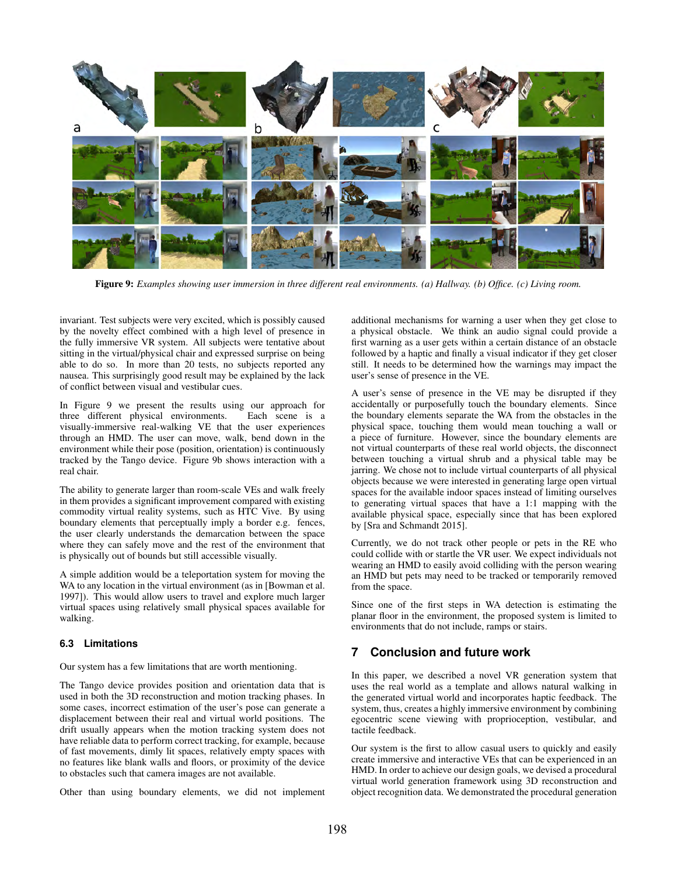<span id="page-7-0"></span>

Figure 9: *Examples showing user immersion in three different real environments. (a) Hallway. (b) Office. (c) Living room.*

invariant. Test subjects were very excited, which is possibly caused by the novelty effect combined with a high level of presence in the fully immersive VR system. All subjects were tentative about sitting in the virtual/physical chair and expressed surprise on being able to do so. In more than 20 tests, no subjects reported any nausea. This surprisingly good result may be explained by the lack of conflict between visual and vestibular cues.

In Figure [9](#page-7-0) we present the results using our approach for three different physical environments. Each scene is a visually-immersive real-walking VE that the user experiences through an HMD. The user can move, walk, bend down in the environment while their pose (position, orientation) is continuously tracked by the Tango device. Figure [9b](#page-7-0) shows interaction with a real chair.

The ability to generate larger than room-scale VEs and walk freely in them provides a significant improvement compared with existing commodity virtual reality systems, such as HTC Vive. By using boundary elements that perceptually imply a border e.g. fences, the user clearly understands the demarcation between the space where they can safely move and the rest of the environment that is physically out of bounds but still accessible visually.

A simple addition would be a teleportation system for moving the WA to any location in the virtual environment (as in [\[Bowman et al.](#page-8-22) [1997\]](#page-8-22)). This would allow users to travel and explore much larger virtual spaces using relatively small physical spaces available for walking.

#### **6.3 Limitations**

Our system has a few limitations that are worth mentioning.

The Tango device provides position and orientation data that is used in both the 3D reconstruction and motion tracking phases. In some cases, incorrect estimation of the user's pose can generate a displacement between their real and virtual world positions. The drift usually appears when the motion tracking system does not have reliable data to perform correct tracking, for example, because of fast movements, dimly lit spaces, relatively empty spaces with no features like blank walls and floors, or proximity of the device to obstacles such that camera images are not available.

Other than using boundary elements, we did not implement

additional mechanisms for warning a user when they get close to a physical obstacle. We think an audio signal could provide a first warning as a user gets within a certain distance of an obstacle followed by a haptic and finally a visual indicator if they get closer still. It needs to be determined how the warnings may impact the user's sense of presence in the VE.

A user's sense of presence in the VE may be disrupted if they accidentally or purposefully touch the boundary elements. Since the boundary elements separate the WA from the obstacles in the physical space, touching them would mean touching a wall or a piece of furniture. However, since the boundary elements are not virtual counterparts of these real world objects, the disconnect between touching a virtual shrub and a physical table may be jarring. We chose not to include virtual counterparts of all physical objects because we were interested in generating large open virtual spaces for the available indoor spaces instead of limiting ourselves to generating virtual spaces that have a 1:1 mapping with the available physical space, especially since that has been explored by [\[Sra and Schmandt 2015\]](#page-8-12).

Currently, we do not track other people or pets in the RE who could collide with or startle the VR user. We expect individuals not wearing an HMD to easily avoid colliding with the person wearing an HMD but pets may need to be tracked or temporarily removed from the space.

Since one of the first steps in WA detection is estimating the planar floor in the environment, the proposed system is limited to environments that do not include, ramps or stairs.

## **7 Conclusion and future work**

In this paper, we described a novel VR generation system that uses the real world as a template and allows natural walking in the generated virtual world and incorporates haptic feedback. The system, thus, creates a highly immersive environment by combining egocentric scene viewing with proprioception, vestibular, and tactile feedback.

Our system is the first to allow casual users to quickly and easily create immersive and interactive VEs that can be experienced in an HMD. In order to achieve our design goals, we devised a procedural virtual world generation framework using 3D reconstruction and object recognition data. We demonstrated the procedural generation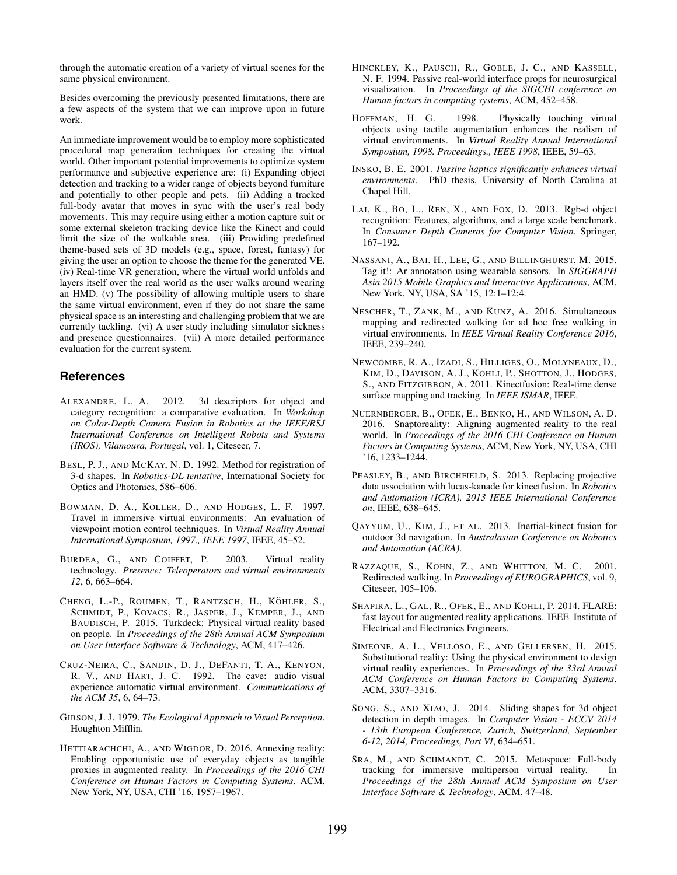through the automatic creation of a variety of virtual scenes for the same physical environment.

Besides overcoming the previously presented limitations, there are a few aspects of the system that we can improve upon in future work.

An immediate improvement would be to employ more sophisticated procedural map generation techniques for creating the virtual world. Other important potential improvements to optimize system performance and subjective experience are: (i) Expanding object detection and tracking to a wider range of objects beyond furniture and potentially to other people and pets. (ii) Adding a tracked full-body avatar that moves in sync with the user's real body movements. This may require using either a motion capture suit or some external skeleton tracking device like the Kinect and could limit the size of the walkable area. (iii) Providing predefined theme-based sets of 3D models (e.g., space, forest, fantasy) for giving the user an option to choose the theme for the generated VE. (iv) Real-time VR generation, where the virtual world unfolds and layers itself over the real world as the user walks around wearing an HMD. (v) The possibility of allowing multiple users to share the same virtual environment, even if they do not share the same physical space is an interesting and challenging problem that we are currently tackling. (vi) A user study including simulator sickness and presence questionnaires. (vii) A more detailed performance evaluation for the current system.

## **References**

- <span id="page-8-10"></span>ALEXANDRE, L. A. 2012. 3d descriptors for object and category recognition: a comparative evaluation. In *Workshop on Color-Depth Camera Fusion in Robotics at the IEEE/RSJ International Conference on Intelligent Robots and Systems (IROS), Vilamoura, Portugal*, vol. 1, Citeseer, 7.
- <span id="page-8-20"></span>BESL, P. J., AND MCKAY, N. D. 1992. Method for registration of 3-d shapes. In *Robotics-DL tentative*, International Society for Optics and Photonics, 586–606.
- <span id="page-8-22"></span>BOWMAN, D. A., KOLLER, D., AND HODGES, L. F. 1997. Travel in immersive virtual environments: An evaluation of viewpoint motion control techniques. In *Virtual Reality Annual International Symposium, 1997., IEEE 1997*, IEEE, 45–52.
- <span id="page-8-1"></span>BURDEA, G., AND COIFFET, P. 2003. Virtual reality technology. *Presence: Teleoperators and virtual environments 12*, 6, 663–664.
- <span id="page-8-15"></span>CHENG, L.-P., ROUMEN, T., RANTZSCH, H., KÖHLER, S., SCHMIDT, P., KOVACS, R., JASPER, J., KEMPER, J., AND BAUDISCH, P. 2015. Turkdeck: Physical virtual reality based on people. In *Proceedings of the 28th Annual ACM Symposium on User Interface Software & Technology*, ACM, 417–426.
- <span id="page-8-0"></span>CRUZ-NEIRA, C., SANDIN, D. J., DEFANTI, T. A., KENYON, R. V., AND HART, J. C. 1992. The cave: audio visual experience automatic virtual environment. *Communications of the ACM 35*, 6, 64–73.
- <span id="page-8-21"></span>GIBSON, J. J. 1979. *The Ecological Approach to Visual Perception*. Houghton Mifflin.
- <span id="page-8-17"></span>HETTIARACHCHI, A., AND WIGDOR, D. 2016. Annexing reality: Enabling opportunistic use of everyday objects as tangible proxies in augmented reality. In *Proceedings of the 2016 CHI Conference on Human Factors in Computing Systems*, ACM, New York, NY, USA, CHI '16, 1957–1967.
- <span id="page-8-14"></span>HINCKLEY, K., PAUSCH, R., GOBLE, J. C., AND KASSELL, N. F. 1994. Passive real-world interface props for neurosurgical visualization. In *Proceedings of the SIGCHI conference on Human factors in computing systems*, ACM, 452–458.
- <span id="page-8-4"></span>HOFFMAN, H. G. 1998. Physically touching virtual objects using tactile augmentation enhances the realism of virtual environments. In *Virtual Reality Annual International Symposium, 1998. Proceedings., IEEE 1998*, IEEE, 59–63.
- <span id="page-8-3"></span>INSKO, B. E. 2001. *Passive haptics significantly enhances virtual environments*. PhD thesis, University of North Carolina at Chapel Hill.
- <span id="page-8-9"></span>LAI, K., BO, L., REN, X., AND FOX, D. 2013. Rgb-d object recognition: Features, algorithms, and a large scale benchmark. In *Consumer Depth Cameras for Computer Vision*. Springer, 167–192.
- <span id="page-8-8"></span>NASSANI, A., BAI, H., LEE, G., AND BILLINGHURST, M. 2015. Tag it!: Ar annotation using wearable sensors. In *SIGGRAPH Asia 2015 Mobile Graphics and Interactive Applications*, ACM, New York, NY, USA, SA '15, 12:1–12:4.
- <span id="page-8-13"></span>NESCHER, T., ZANK, M., AND KUNZ, A. 2016. Simultaneous mapping and redirected walking for ad hoc free walking in virtual environments. In *IEEE Virtual Reality Conference 2016*, IEEE, 239–240.
- <span id="page-8-5"></span>NEWCOMBE, R. A., IZADI, S., HILLIGES, O., MOLYNEAUX, D., KIM, D., DAVISON, A. J., KOHLI, P., SHOTTON, J., HODGES, S., AND FITZGIBBON, A. 2011. Kinectfusion: Real-time dense surface mapping and tracking. In *IEEE ISMAR*, IEEE.
- <span id="page-8-19"></span>NUERNBERGER, B., OFEK, E., BENKO, H., AND WILSON, A. D. 2016. Snaptoreality: Aligning augmented reality to the real world. In *Proceedings of the 2016 CHI Conference on Human Factors in Computing Systems*, ACM, New York, NY, USA, CHI '16, 1233–1244.
- <span id="page-8-6"></span>PEASLEY, B., AND BIRCHFIELD, S. 2013. Replacing projective data association with lucas-kanade for kinectfusion. In *Robotics and Automation (ICRA), 2013 IEEE International Conference on*, IEEE, 638–645.
- <span id="page-8-7"></span>QAYYUM, U., KIM, J., ET AL. 2013. Inertial-kinect fusion for outdoor 3d navigation. In *Australasian Conference on Robotics and Automation (ACRA)*.
- <span id="page-8-2"></span>RAZZAQUE, S., KOHN, Z., AND WHITTON, M. C. 2001. Redirected walking. In *Proceedings of EUROGRAPHICS*, vol. 9, Citeseer, 105–106.
- <span id="page-8-18"></span>SHAPIRA, L., GAL, R., OFEK, E., AND KOHLI, P. 2014. FLARE: fast layout for augmented reality applications. IEEE Institute of Electrical and Electronics Engineers.
- <span id="page-8-16"></span>SIMEONE, A. L., VELLOSO, E., AND GELLERSEN, H. 2015. Substitutional reality: Using the physical environment to design virtual reality experiences. In *Proceedings of the 33rd Annual ACM Conference on Human Factors in Computing Systems*, ACM, 3307–3316.
- <span id="page-8-11"></span>SONG, S., AND XIAO, J. 2014. Sliding shapes for 3d object detection in depth images. In *Computer Vision - ECCV 2014 - 13th European Conference, Zurich, Switzerland, September 6-12, 2014, Proceedings, Part VI*, 634–651.
- <span id="page-8-12"></span>SRA, M., AND SCHMANDT, C. 2015. Metaspace: Full-body tracking for immersive multiperson virtual reality. *Proceedings of the 28th Annual ACM Symposium on User Interface Software & Technology*, ACM, 47–48.